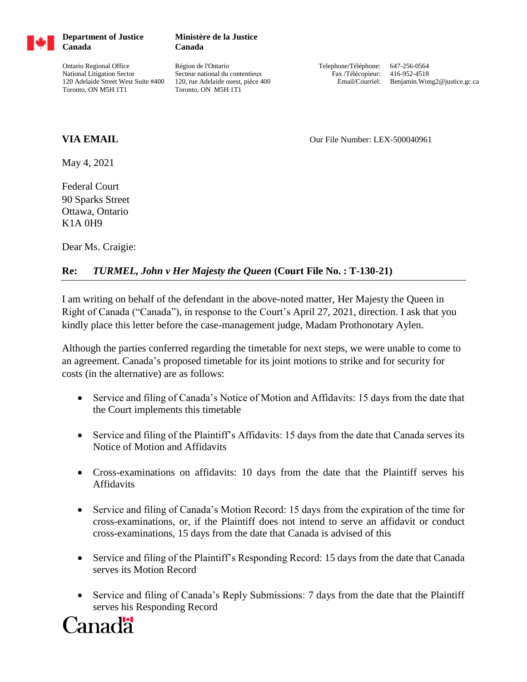

**Department of Justice Canada**

**Canada**

Ontario Regional Office National Litigation Sector 120 Adelaide Street West Suite #400 Toronto, ON M5H 1T1

Région de l'Ontario Secteur national du contentieux 120, rue Adelaide ouest, pièce 400 Toronto, ON M5H 1T1

**Ministère de la Justice**

Telephone/Téléphone: 647-256-0564 Fax /Télécopieur: 416-952-4518 Email/Courriel: Benjamin.Wong2@justice.gc.ca

**VIA EMAIL Our File Number: LEX-500040961** 

May 4, 2021

Federal Court 90 Sparks Street Ottawa, Ontario K1A 0H9

Dear Ms. Craigie:

## **Re:** *TURMEL, John v Her Majesty the Queen* **(Court File No. : T-130-21)**

I am writing on behalf of the defendant in the above-noted matter, Her Majesty the Queen in Right of Canada ("Canada"), in response to the Court's April 27, 2021, direction. I ask that you kindly place this letter before the case-management judge, Madam Prothonotary Aylen.

Although the parties conferred regarding the timetable for next steps, we were unable to come to an agreement. Canada's proposed timetable for its joint motions to strike and for security for costs (in the alternative) are as follows:

- Service and filing of Canada's Notice of Motion and Affidavits: 15 days from the date that the Court implements this timetable
- Service and filing of the Plaintiff's Affidavits: 15 days from the date that Canada serves its Notice of Motion and Affidavits
- Cross-examinations on affidavits: 10 days from the date that the Plaintiff serves his Affidavits
- Service and filing of Canada's Motion Record: 15 days from the expiration of the time for cross-examinations, or, if the Plaintiff does not intend to serve an affidavit or conduct cross-examinations, 15 days from the date that Canada is advised of this
- Service and filing of the Plaintiff's Responding Record: 15 days from the date that Canada serves its Motion Record
- Service and filing of Canada's Reply Submissions: 7 days from the date that the Plaintiff serves his Responding Record